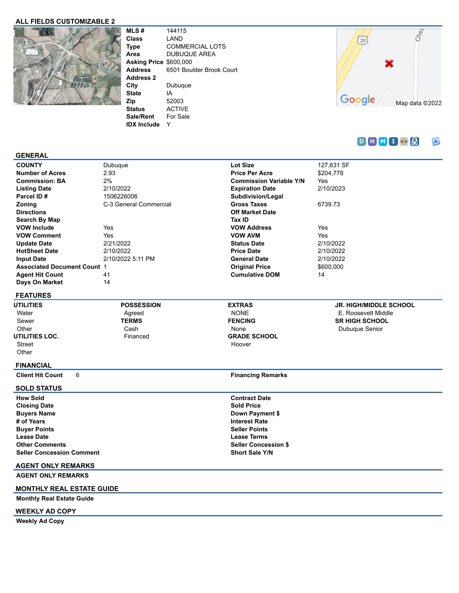### **ALL FIELDS CUSTOMIZABLE 2**



**MLS #** 144115 **Class** LAND **Type** COMMERCIAL LOTS **Area** DUBUQUE AREA **Asking Price** \$600,000 **Address** 6501 Boulder Brook Court **Address 2 City** Dubuque **State** IA **Zip** 52003 **Status** ACTIVE

**Sale/Rent** For Sale **IDX Include** Y



#### $D H M I B$ 同

#### **GENERAL**

| <b>COUNTY</b>                      | Dubuque                | Lot Size                       | 127,631 SF |
|------------------------------------|------------------------|--------------------------------|------------|
| <b>Number of Acres</b>             | 2.93                   | <b>Price Per Acre</b>          | \$204.778  |
| <b>Commission: BA</b>              | 2%                     | <b>Commission Variable Y/N</b> | Yes        |
| <b>Listing Date</b>                | 2/10/2022              | <b>Expiration Date</b>         | 2/10/2023  |
| Parcel ID#                         | 1506226006             | Subdivision/Legal              |            |
| <b>Zoning</b>                      | C-3 General Commercial | <b>Gross Taxes</b>             | 6739.73    |
| <b>Directions</b>                  |                        | <b>Off Market Date</b>         |            |
| Search By Map                      |                        | Tax ID                         |            |
| <b>VOW Include</b>                 | <b>Yes</b>             | <b>VOW Address</b>             | Yes        |
| <b>VOW Comment</b>                 | Yes                    | <b>VOW AVM</b>                 | Yes        |
| <b>Update Date</b>                 | 2/21/2022              | <b>Status Date</b>             | 2/10/2022  |
| <b>HotSheet Date</b>               | 2/10/2022              | <b>Price Date</b>              | 2/10/2022  |
| <b>Input Date</b>                  | 2/10/2022 5:11 PM      | <b>General Date</b>            | 2/10/2022  |
| <b>Associated Document Count 1</b> |                        | <b>Original Price</b>          | \$600,000  |
| <b>Agent Hit Count</b>             | 41                     | <b>Cumulative DOM</b>          | 14         |
| Days On Market                     | 14                     |                                |            |
|                                    |                        |                                |            |

## **FEATURES**

**UTILITIES** Water Sewer **Other UTILITIES LOC.** Street **Other** 

**POSSESSION** Agreed **TERMS** Cash Financed

### **EXTRAS** NONE **FENCING** None **GRADE SCHOOL** Hoover

**JR. HIGH/MIDDLE SCHOOL** E. Roosevelt Middle **SR HIGH SCHOOL** Dubuque Senior

### **FINANCIAL**

**Client Hit Count** 6 **Financing Remarks** 

#### **SOLD STATUS**

**How Sold Contract Date Closing Date Sold Price Buyers Name Down Payment \$ Down Payment \$ # of Years Interest Rate Buyer Points Seller Points Lease Date Lease Terms Other Comments Seller Concession \$ Seller Concession Comment Short Sale Y/N**

# **AGENT ONLY REMARKS**

**AGENT ONLY REMARKS**

#### **MONTHLY REAL ESTATE GUIDE**

**Monthly Real Estate Guide**

### **WEEKLY AD COPY**

**Weekly Ad Copy**